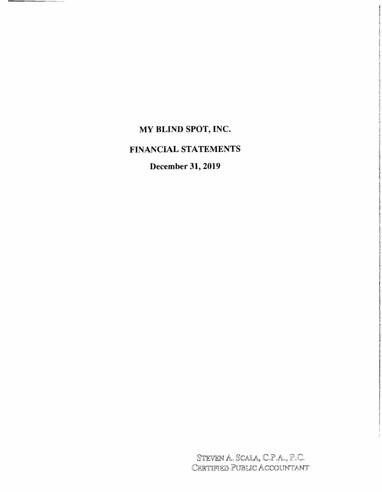# **MY BLIND SPOT, INC.**

# **FINANCIAL STATEMENTS**

**December 31, 2019** 

STEVEN A. SCALA, C.P.A., P. Certified Public Accountant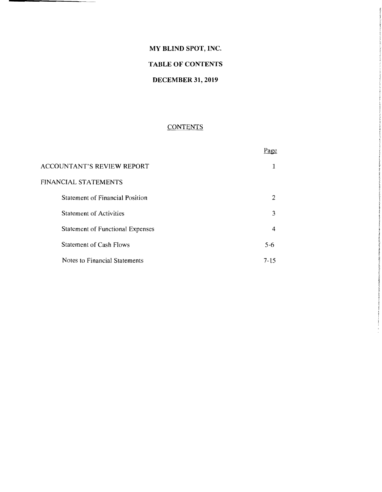## **MY BLIND SPOT, INC.**

# **TABLE OF CONTENTS**

# **DECEMBER 31, 2019**

# **CONTENTS**

|                                         | Page     |
|-----------------------------------------|----------|
| ACCOUNTANT'S REVIEW REPORT              |          |
| FINANCIAL STATEMENTS                    |          |
| <b>Statement of Financial Position</b>  | 2        |
| <b>Statement of Activities</b>          | 3        |
| <b>Statement of Functional Expenses</b> | 4        |
| <b>Statement of Cash Flows</b>          | $5 - 6$  |
| Notes to Financial Statements           | $7 - 15$ |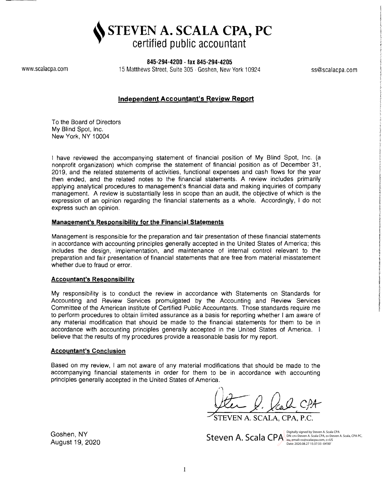**STEVEN A. SCALA CPA, PC certified public accountant** 

**845-294-4200 . fax 845-294-4205** 

www.scalacpa.com 15 Matthews Street, Suite 305 . Goshen, New York 10924 ss@scalacpa.com

# **Independent Accountant's Review Report**

To the Board of Directors My Blind Spot, Inc. New York, NY 10004

I have reviewed the accompanying statement of financial position of My Blind Spot, Inc. (a nonprofit organization) which comprise the statement of financial position as of December 31, 2019, and the related statements of activities, functional expenses and cash flows for the year then ended, and the related notes to the financial statements. A review includes primarily applying analytical procedures to management's financial data and making inquiries of company management. A review is substantially less in scope than an audit, the objective of which is the expression of an opinion regarding the financial statements as a whole. Accordingly, I do not express such an opinion.

#### **Management's Responsibility for the Financial Statements**

Management is responsible for the preparation and fair presentation of these financial statements in accordance with accounting principles generally accepted in the United States of America; this includes the design, implementation, and maintenance of internal control relevant to the preparation and fair presentation of financial statements that are free from material misstatement whether due to fraud or error.

#### **Accountant's Responsibility**

My responsibility is to conduct the review in accordance with Statements on Standards for Accounting and Review Services promulgated by the Accounting and Review Services Committee of the American Institute of Certified Public Accountants. Those standards require me to perform procedures to obtain limited assurance as a basis for reporting whether I am aware of any material modification that should be made to the financial statements for them to be in accordance with accounting principles generally accepted in the United States of America. I believe that the results of my procedures provide a reasonable basis for my report.

#### **Accountant's Conclusion**

Based on my review, I am not aware of any material modifications that should be made to the accompanying financial statements in order for them to be in accordance with accounting principles generally accepted in the United States of America.

(Am C. Cal. CPA

STEVEN A. SCALA, CPA, P.C.

Steven A. Scala CPA DN: Cn=Steven A. Scala CPA OF Steven A. Scala, CPA PC, Digitally signed by Steven A. Scala CPA Date: 2020.08.27 15:37:33 -04'00'

Goshen, NY August 19, 2020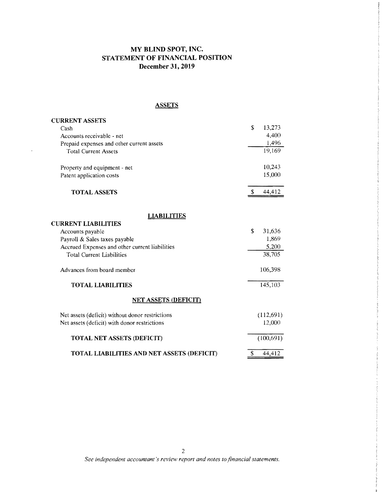# **MY BLIND SPOT, INC. STATEMENT OF FINANCIAL POSITION December 31, 2019**

## **ASSETS**

| <b>CURRENT ASSETS</b>                           |              |
|-------------------------------------------------|--------------|
| Cash                                            | \$<br>13,273 |
| Accounts receivable - net                       | 4,400        |
| Prepaid expenses and other current assets       | 1,496        |
| <b>Total Current Assets</b>                     | 19,169       |
| Property and equipment - net                    | 10,243       |
| Patent application costs                        | 15,000       |
| <b>TOTAL ASSETS</b>                             | \$<br>44,412 |
| <b>LIABILITIES</b>                              |              |
| <b>CURRENT LIABILITIES</b>                      |              |
| Accounts payable                                | \$<br>31,636 |
| Payroll & Sales taxes payable                   | 1,869        |
| Accrued Expenses and other current liabilities  | 5,200        |
| <b>Total Current Liabilities</b>                | 38,705       |
| Advances from board member                      | 106,398      |
| <b>TOTAL LIABILITIES</b>                        | 145,103      |
| <b>NET ASSETS (DEFICIT)</b>                     |              |
| Net assets (deficit) without donor restrictions | (112,691)    |
| Net assets (deficit) with donor restrictions    | 12,000       |
| <b>TOTAL NET ASSETS (DEFICIT)</b>               | (100, 691)   |
| TOTAL LIABILITIES AND NET ASSETS (DEFICIT)      | \$<br>44,412 |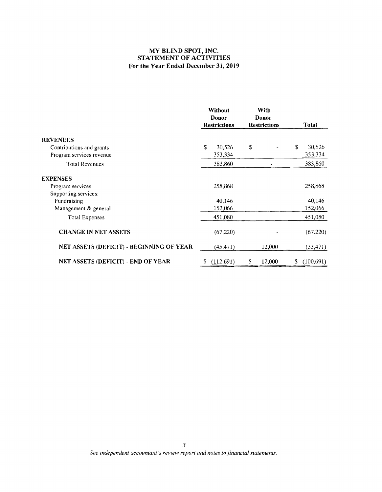## **MY BLIND SPOT, INC. STATEMENT OF ACTIVITIES For the Year Ended December 31, 2019**

|                                          |   | Without<br>Donor<br><b>Restrictions</b> | With<br>Donor<br><b>Restrictions</b> | <b>Total</b>     |
|------------------------------------------|---|-----------------------------------------|--------------------------------------|------------------|
| <b>REVENUES</b>                          |   |                                         |                                      |                  |
| Contributions and grants                 | S | 30,526                                  | \$                                   | \$<br>30,526     |
| Program services revenue                 |   | 353,334                                 |                                      | 353,334          |
| <b>Total Revenues</b>                    |   | 383,860                                 |                                      | 383,860          |
| <b>EXPENSES</b>                          |   |                                         |                                      |                  |
| Program services                         |   | 258,868                                 |                                      | 258,868          |
| Supporting services:                     |   |                                         |                                      |                  |
| Fundraising                              |   | 40,146                                  |                                      | 40,146           |
| Management & general                     |   | 152,066                                 |                                      | 152,066          |
| <b>Total Expenses</b>                    |   | 451,080                                 |                                      | 451,080          |
| <b>CHANGE IN NET ASSETS</b>              |   | (67,220)                                |                                      | (67.220)         |
| NET ASSETS (DEFICIT) - BEGINNING OF YEAR |   | (45, 471)                               | 12,000                               | (33, 471)        |
| NET ASSETS (DEFICIT) - END OF YEAR       |   | (112,691)                               | \$<br>12,000                         | \$<br>(100, 691) |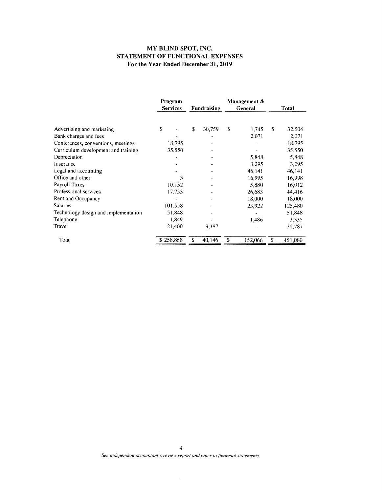#### **MY BLIND SPOT, INC. STATEMENT OF FUNCTIONAL EXPENSES For the Year Ended December 31, 2019**

|                                      | Program<br><b>Services</b> | <b>Fundraising</b> |    | Management $\&$<br>General |    | <b>Total</b> |
|--------------------------------------|----------------------------|--------------------|----|----------------------------|----|--------------|
| Advertising and marketing            | \$                         | \$<br>30,759       | \$ | 1,745                      | S  | 32,504       |
| Bank charges and fees                |                            |                    |    | 2.071                      |    | 2,071        |
| Conferences, conventions, meetings   | 18,795                     |                    |    |                            |    | 18,795       |
| Curriculum development and training  | 35,550                     |                    |    |                            |    | 35,550       |
| Depreciation                         |                            |                    |    | 5,848                      |    | 5,848        |
| Insurance                            |                            |                    |    | 3,295                      |    | 3,295        |
| Legal and accounting                 |                            |                    |    | 46,141                     |    | 46,141       |
| Office and other                     | 3                          |                    |    | 16,995                     |    | 16,998       |
| Payroll Taxes                        | 10,132                     |                    |    | 5,880                      |    | 16,012       |
| Professional services                | 17,733                     |                    |    | 26,683                     |    | 44,416       |
| Rent and Occupancy                   |                            |                    |    | 18,000                     |    | 18,000       |
| <b>Salaries</b>                      | 101,558                    |                    |    | 23,922                     |    | 125,480      |
| Technology design and implementation | 51,848                     |                    |    |                            |    | 51,848       |
| Telephone                            | 1.849                      |                    |    | 1,486                      |    | 3,335        |
| Travel                               | 21,400                     | 9,387              |    |                            |    | 30,787       |
| Total                                | \$258,868                  | 40,146             | S  | 152,066                    | \$ | 451,080      |

 $\bar{\mathcal{A}}$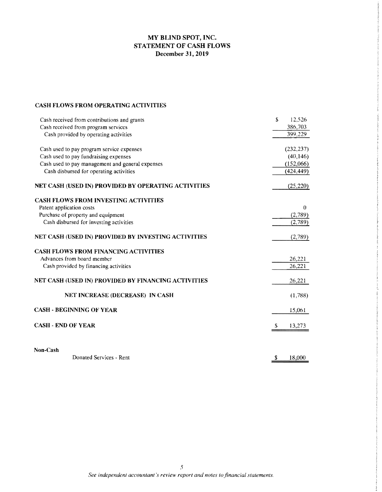# **MY BLIND SPOT, INC. STATEMENT OF CASH FLOWS December 31,2019**

### **CASH FLOWS FROM OPERATING ACTIVITIES**

| Cash received from contributions and grants         | \$.<br>12,526 |
|-----------------------------------------------------|---------------|
| Cash received from program services                 | 386,703       |
| Cash provided by operating activities               | 399,229       |
| Cash used to pay program service expenses           | (232, 237)    |
| Cash used to pay fundraising expenses               | (40, 146)     |
| Cash used to pay management and general expenses    | (152,066)     |
| Cash disbursed for operating activities             | (424, 449)    |
| NET CASH (USED IN) PROVIDED BY OPERATING ACTIVITIES | (25, 220)     |
| <b>CASH FLOWS FROM INVESTING ACTIVITIES</b>         |               |
| Patent application costs                            | $\Omega$      |
| Purchase of property and equipment                  | (2,789)       |
| Cash disbursed for investing activities             | (2,789)       |
| NET CASH (USED IN) PROVIDED BY INVESTING ACTIVITIES | (2,789)       |
| <b>CASH FLOWS FROM FINANCING ACTIVITIES</b>         |               |
| Advances from board member                          | 26,221        |
| Cash provided by financing activities               | 26,221        |
| NET CASH (USED IN) PROVIDED BY FINANCING ACTIVITIES | 26,221        |
| <b>NET INCREASE (DECREASE) IN CASH</b>              | (1,788)       |
| <b>CASH - BEGINNING OF YEAR</b>                     | 15,061        |
| <b>CASH - END OF YEAR</b>                           | 13,273<br>-S  |
| Non-Cash                                            |               |
| Donated Services - Rent                             | \$<br>18,000  |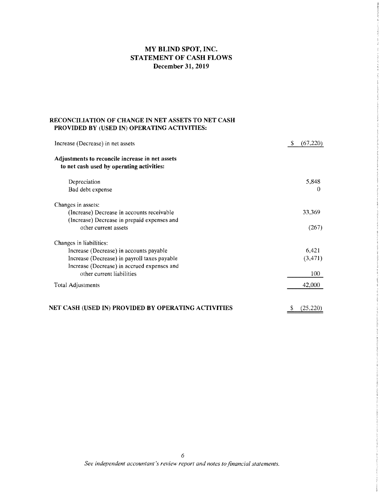# **MY BLIND SPOT, INC. STATEMENT OF CASH FLOWS December 31,2019**

## **RECONCILIATION OF CHANGE IN NET ASSETS TO NET CASH PROVIDED BY (USED IN) OPERATING ACTIVITIES:**

| Increase (Decrease) in net assets                   | \$<br>(67, 220) |
|-----------------------------------------------------|-----------------|
| Adjustments to reconcile increase in net assets     |                 |
| to net cash used by operating activities:           |                 |
| Depreciation                                        | 5,848           |
| Bad debt expense                                    | Ð               |
| Changes in assets:                                  |                 |
| (Increase) Decrease in accounts receivable          | 33,369          |
| (Increase) Decrease in prepaid expenses and         |                 |
| other current assets                                | (267)           |
| Changes in liabilities:                             |                 |
| Increase (Decrease) in accounts payable             | 6,421           |
| Increase (Decrease) in payroll taxes payable        | (3, 471)        |
| Increase (Decrease) in accrued expenses and         |                 |
| other current liabilities                           | 100             |
| <b>Total Adjustments</b>                            | 42,000          |
| NET CASH (USED IN) PROVIDED BY OPERATING ACTIVITIES | S<br>(25.220)   |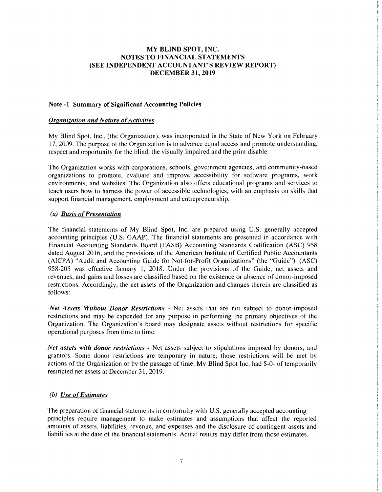#### Note -1 Summary of Significant Accounting Policies

#### *Organization and Nature ofActivities*

My Blind Spot, Inc., (the Organization), was incorporated in the State of New York on February 17,2009. The purpose of the Organization is to advance equal access and promote understanding, respect and opportunity for the blind, the visually impaired and the print disable.

The Organization works with corporations, schools, government agencies, and community-based organizations to promote, evaluate and improve accessibility for software programs, work environments, and websites. The Organization also offers educational programs and services to teach users how to harness the power of accessihle technologies, with an emphasis on skills that support financial management, employment and entrepreneurship.

## *(a) Basis ofPresentation*

The financial statements of My Blind Spot, Inc. are prepared using U.S. generally accepted accounting principles (U.S. GAAP). The financial statements are presented in accordance with Financial Accounting Standards Board (FASB) Accounting Standards Codification (ASC) 958 dated August 2016, and the provisions of the American Institute of Certified Public Accountants (AICPA) "Audit and Accounting Guide for Not-for-Profit Organizations" (the "Guide"). (ASC) 958-205 was effective January 1, 2018. Under the provisions of the Guide, net assets and revenues, and gains and losses are classified based on the existence or absence of donor-imposed restrictions. Accordingly, the net assets of the Organization and changes therein arc classified as follows:

*Net Assets Without Donor Restrictions* - Net assets that are not subject to donor-imposed restrictions and may be expended for any purpose in performing the primary ohjectives of the Organization. The Organization's board may designate assets without restrictions for specific operational purposes from time to time.

*Net assets with donor restrictions* - Net assets subject to stipulations imposed by donors, and grantors. Some donor restrictions are temporary in nature; those restrictions will be met by actions of the Organization or by the passage of time. My Blind Spot Inc. had \$-0- of temporarily restricted net assets at December 31,2019.

# *(b)* Use of Estimates

The preparation of financial statements in conformity with U.S. generally accepted accounting principles require management to make estimates and assumptions that affect the reported amounts of assets, liabilities, revenue, and expenses and the disclosure of contingent assets and liabilities at the date of the financial statements. Actual results may differ from those estimates.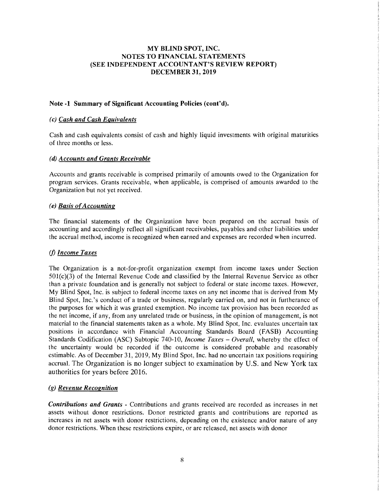# Note·1 Summary of Significant Accounting Policies (cont'd).

# *(c) Cash and Cash Equivalents*

Cash and cash equivalents consist of cash and highly liquid investments with original maturities of three months or less.

#### *(d) Accounts and Grants Receivable*

Accounts and grants receivable is comprised primarily of amounts owed to the Organization for program services. Grants receivable, when applicable, is comprised of amounts awarded to the Organization but not yet received.

# *(e) Basis* of*Accounting*

The financial statements of the Organization have been prepared on the accrual basis of accounting and accordingly reflect all significant receivables, payables and other liabilities under the accrual method, income is recognized when earned and expenses are recorded when incurred.

# (j) *Income Taxes*

The Organization is a not-for-profit organization exempt from income taxes under Section 501(c)(3) of the Internal Revenue Code and classified by the Internal Revenue Service as other than a private foundation and is generally not subject to federal or state income taxes. However, My Blind Spot, Inc. is subject to federal income taxes on any net income that is derived from My Blind Spot, Inc.'s conduct of a trade or business, regularly carried on, and not in furtherance of the purposes for which it was granted exemption. No income tax provision has been recorded as the net income, if any, from any unrelated trade or business, in the opinion of management, is not material to the financial statements taken as a whole. My Blind Spot, Inc. evaluates uncertain tax positions in accordance with Financial Accounting Standards Board (FASB) Accounting Standards Codification (ASC) Subtopic 740-10, *Income Taxes – Overall*, whereby the effect of the uncertainty would be recorded if the outcome is considered probable and reasonably estimable. As of December 31,2019, My Blind Spot, Inc. had no uncertain tax positions requiring accruaL The Organization is no longer subject to examination by U.S. and New York tax authorities for years before 2016.

# *(g) Revenue Recognition*

*Contributions and Grants·* Contributions and grants received are recorded as increases in net assets without donor restrictions. Donor restricted grants and contributions are reported as increases in net assets with donor restrictions, depending on the existence and/or nature of any donor restrictions. When these restrictions expire, or are released, net assets with donor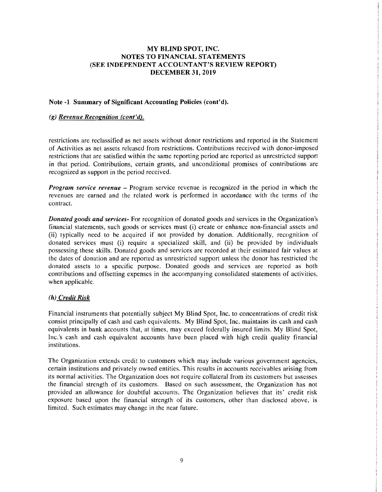#### Note -1 Summary of Significant Accounting Policies (cont'd).

## *(g) Revenue Recognition (cont'd).*

restrictions are reclassified as net assets without donor restrictions and reported in the Statement of Activities as net assets released from restrictions. Contributions received with donor-imposed restrictions that are satisfied within the same reporting period are reported as unrestricted support in that period. Contributions, certain grants, and unconditional promises of contributions are recognized as support in the period received.

*Program service revenue* – Program service revenue is recognized in the period in which the revenues are earned and the related work is performed in accordance with the terms of the contract.

*Donated goods and services-* For recognition of donated goods and services in the Organization's financial statements, such goods or services must (i) create or enhance non-financial assets and (ii) typically need to be acquired if not provided by donation. Additionally, recognition of donated services must (i) require a specialized skill, and (ii) be provided by individuals possessing these skills. Donated goods and services are recorded at their estimated fair values at the dates of donation and are reported as unrestricted support unless the donor has restricted the donated assets to a specific purpose. Donated goods and services are reported as both contributions and offsetting expenses in the accompanying consolidated statements of activities, when applicable.

# *(h) Credit Risk*

Financial instruments that potentially subject My Blind Spot, Inc. to concentrations of credit risk consist principally of cash and cash equivalents. My Blind Spot, Inc. maintains its cash and cash equivalents in bank accounts that, at times, may exceed federally insured limits. My Blind Spot, Inc.'s cash and cash equivalent accounts have been placed with high credit quality financial institutions.

The Organization extends credit to customers which may include various government agencies, certain institutions and privately owned entities. This results in accounts receivables arising from its normal activities. The Organization does not require collateral from its customers but assesses the financial strength of its customers. Based on such assessment, the Organization has not provided an allowance for doubtful accounts. The Organization believes that its' credit risk exposure based upon the financial strength of its customers, other than disclosed above, is limited. Such estimates may change in the near future.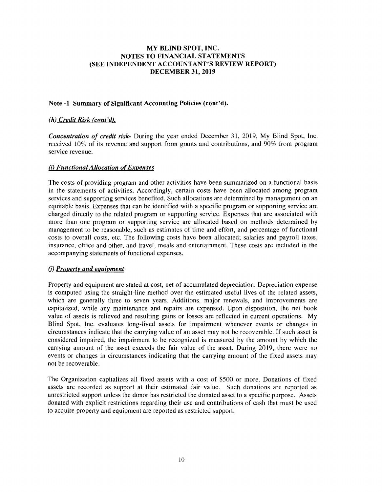# Note -1 Summary of Significant Accounting Policies (cont'd).

# (h) *Credit Risk (cont'd).*

*Concentration of credit risk-* During the year ended December 31, 2019, My Blind Spot, Inc. received 10% of its revenue and support from grants and contributions, and 90% from program service revenue.

## *(i) Functional Allocation* of*Expenses*

The costs of providing program and other activities have been summarized on a functional basis in the statements of activities. Accordingly, certain costs have been allocated among program services and supporting services benefited. Such allocations are determined by management on an equitable basis. Expenses that can be identified with a specific program or supporting service are charged directly to the related program or supporting service. Expenses that are associated with more than one program or supporting service are allocated based on methods determined by management to be reasonable, such as estimates of time and effort, and percentage of functional costs to overall costs, etc. The following costs have been allocated; salaries and payroll taxes, insurance, office and other, and travel, meals and entertainment. These costs are included in the accompanying statements of functional expenses.

#### (j) *Property and equipment*

Property and equipment are stated at cost, net of accumulated depreciation. Depreciation expense is computed using the straight-line method over the estimated useful lives of the related assets, which are generally three to seven years. Additions, major renewals, and improvements are capitalized, while any maintenance and repairs are expensed. Upon disposition, the net book value of assets is relieved and resulting gains or losses are reflected in current operations. My Blind Spot, Inc. evaluates long-lived assets for impairment whenever events or changes in circumstances indicate that the carrying value of an asset may not be recoverable. If such asset is considered impaired, the impairment to be recognized is measured by the amount by which the carrying amount of the asset exceeds the fair value of the asset. During 2019, there were no events or changes in circumstances indicating that the carrying amount of the fixed assets may not be recoverable.

The Organization capitalizes all fixed assets with a cost of \$500 or more. Donations of fixed assets are recorded as support at their estimated fair value. Such donations are reported as unrestricted support unless the donor has restricted the donated asset to a specific purpose. Assets donated with explicit restrictions regarding their use and contributions of cash that must be used to acquire property and equipment are reported as restricted support.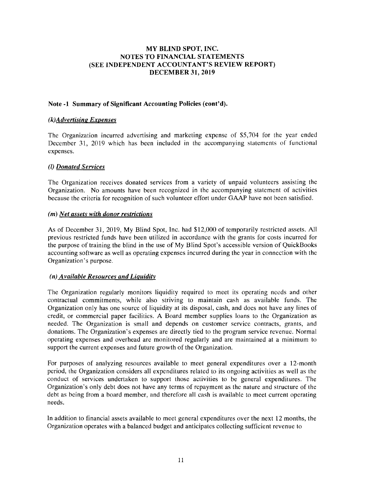# Note -1 Summary of Significant Accounting Policies (cont'd).

### *(k)Advertising Expenses*

The Organization incurred advertising and marketing expense of \$5,704 for the year ended December 31, 2019 which has been included in the accompanying statements of functional expenses.

## (I) *Donated Services*

The Organization receives donated services from a variety of unpaid volunteers assisting the Organization. No amounts have been recognized in the accompanying statement of activities because the criteria for recognition of such volunteer effort under GAAP have not been satisfied.

## (m) *Net assets with donor restrictions*

As of December 31,2019, My Blind Spot, Inc. had \$12,000 of temporarily restricted assets. All previous restricted funds have been utilized in accordance with the grants for costs incurred for the purpose of training the blind in the use of My Blind Spot's accessible version of QuickBooks accounting software as well as operating expenses incurred during the year in connection with the Organization's purpose.

# *(n) Available Resources and Liquidity*

The Organization regularly monitors liquidity required to meet its operating needs and other contractual commitments, while also striving to maintain cash as available funds. The Organization only has one source of liquidity at its disposal, cash, and does not have any lines of credit, or commercial paper facilities. A Board member supplies loans to the Organization as needed. The Organization is small and depends on customer service contracts, grants, and donations. The Organization's expenses are directly tied to the program service revenuc. Normal operating expenses and overhead are monitored regularly and are maintained at a minimum to support the current expenses and future growth of the Organization.

For purposes of analyzing resources available to meet general expenditures over a 12-month period, the Organization considers all expenditures related to its ongoing activities as well as the conduct of services undertaken to support those activities to be general expenditures. The Organization's only debt does not have any terms of rcpayment as the nature and structure of the debt as being from a board member, and therefore all cash is available to meet current operating needs.

In addition to financial assets available to meet general expenditures over the next 12 months, the Organization operates with a balanced budget and anticipates collecting sufficient revenue to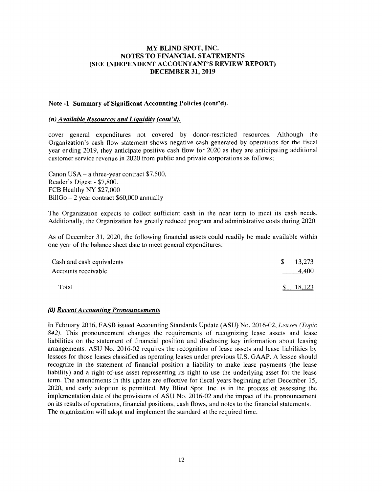## Note -1 Summary of Significant Accounting Policies (cont'd).

## *(n) Available Resources and Liquidity (cont'd).*

cover general expenditures not covered by donor-restricted resources. Although the Organization's cash flow statement shows negative cash generated by operations for the fiscal year ending 2019, they anticipate positive cash flow for 2020 as they are anticipating additional customer service revenue in 2020 from public and private corporations as follows;

Canon  $USA - a$  three-year contract \$7,500, Reader's Digest - \$7,800. FCB Healthy NY \$27,000 BillGo - 2 year contract \$60,000 annually

The Organization expects to collect sufficient cash in the near term to meet its cash needs. Additionally, the Organization has greatly reduced program and administrative costs during 2020.

As of December 31, 2020, the following financial assets could readily be made available within one year of the balance sheet date to meet general expenditures:

| Cash and cash equivalents | -S. | 13,273 |
|---------------------------|-----|--------|
| Accounts receivable       |     | 4.400  |
| Total                     | S.  | 18,123 |

# *(0) Recent Accounting Pronouncements*

In February 2016, FASB issued Accounting Standards Update (ASU) No. 2016-02, *Leases (Topic*  842). This pronouncement changes the requirements of recognizing lease assets and lease liabilities on the statement of financial position and disclosing key information about leasing arrangements. ASU No. 2016-02 requires the recognition of lease assets and lease liabilities by lessees for those leases classified as operating leases under previous U.S. GAAP. A lessee should recognize in the statement of financial position a liability to make lease payments (the lease liability) and a right-of-use asset representing its right to use the underlying asset for the lease term. The amendments in this update are effective for fiscal years beginning after December 15, 2020, and early adoption is permitted. My Blind Spot, Inc. is in the process of assessing the implementation date of the provisions of ASU No. 2016-02 and the impact of the pronouncement on its results of operations, financial positions, cash flows, and notes to the financial statements. The organization will adopt and implement the standard at the required time.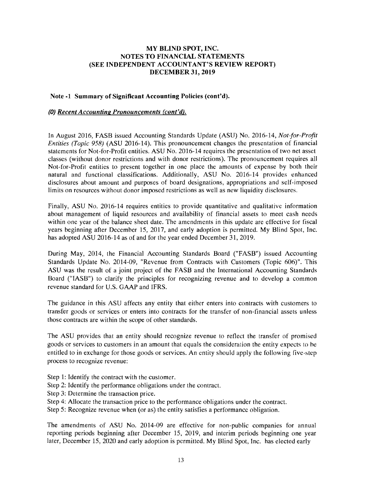#### Note -I Summary of Significant Accounting Policies (cont'd).

#### (0) *Recent Accounting Pronouncements (cont'd).*

In August 2016, FASB issued Accounting Standards Update (ASU) No. 2016-14, *Not-far-Profit Entities (Topic* 958) (ASU 2016-14). This pronouncement changes the presentation of financial statements for Not-for-Profit entities. ASU No. 2016-14 requires the presentation of two net asset classes (without donor restrictions and with donor restrictions). The pronouncement requires all Not-for-Profit entities to present together in one place the amounts of expense by both their natural and functional classifications. Additionally, ASU No. 2016-14 provides enhanced disclosures about amount and purposes of board designations, appropriations and self-imposed limits on resources without donor imposed restrictions as well as new liquidity disclosures.

Finally, ASU No. 2016-14 requires entities to provide quantitative and qualitative information about management of liquid resources and availability of financial assets to meet cash needs within one year of the balance sheet date. The amendments in this update are effective for fiscal years beginning after December 15, 2017, and early adoption is permitted. My Blind Spot, Inc. has adopted ASU 2016-14 as of and for the year ended December 31, 2019.

During May, 2014, the Financial Accounting Standards Board ("FASB") issued Accounting Standards Update No. 2014-09, "Revenue from Contracts with Customers (Topic 606)". This ASU was the result of a joint project of the FASB and the International Accounting Standards Board ("IASB") to clarify the principles for recognizing revenue and to develop a common revenue standard for U.S. GAAP and IFRS.

The guidance in this ASU affects any entity that either enters into contracts with customers to transfer goods or services or enters into contracts for the transfer of non-financial assets unless those contracts are within the scope of other standards.

The ASU provides that an entity should recognize revenue to retlect the transfer of promised goods or services to customers in an amount that equals the consideration the entity expects 10 he entitled to in exchange for those goods or services. An entity should apply the following five-step process to recognize revenue:

- Step 1: Identify the contract with the customer.
- Step 2: Identify the performance obligations under the contract.
- Step 3: Determine the transaction price.
- Step 4: Allocate the transaction price to the performance obligations under the contract.
- Step 5: Recognize revenue when (or as) the entity satisfies a performance obligation.

The amendments of ASU No. 2014-09 are effective for non-public companies for annual reporting periods beginning after December 15, 2019, and interim periods beginning one year later, December 15, 2020 and early adoption is permitted. My Blind Spot, Inc. has elected early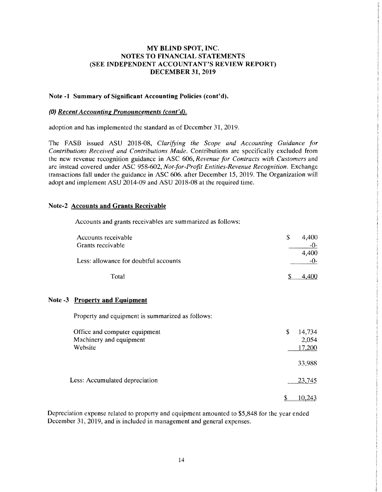## Note -1 Summary of Significant Accounting Policies (cont'd).

#### (0) *Recent Accounting Pronouncements (cont'd).*

adoption and has implemented the standard as of December 31, 2019.

The FASB issued ASU 2018-08, *Clarifying the Scope and Accounting Guidance for Contributions Received and Contributions Made.* Contributions are specifically excluded from the new revenue recognition guidance in ASC 606, *Revenue for Contracts with Customers* and are instead covered under ASC 958-602, *Not-for-Profit Entities-Revenue Recognition.* Exchange transactions fall under the guidance in ASC 606. after December 15,2019. The Organization will adopt and implement ASU 2014-09 and ASU 2018-08 at the required time.

## Note-2 Accounts and Grants Receivable

Accounts and grants receivables are summarized as follows:

| Accounts receivable                   | 4.400<br>S |
|---------------------------------------|------------|
| Grants receivable                     | $-0-$      |
|                                       | 4.400      |
| Less: allowance for doubtful accounts | -0-        |
| Total                                 |            |

#### Note -3 Property and Eguipment

Property and equipment is summarized as follows:

| Office and computer equipment  | 14,734<br>S |
|--------------------------------|-------------|
| Machinery and equipment        | 2,054       |
| Website                        | 17,200      |
|                                | 33,988      |
| Less: Accumulated depreciation | 23,745      |
|                                | 10.243      |

Depreciation expense related to property and equipment amounted to \$5,848 for the year ended December 31, 2019, and is included in management and general expenses.